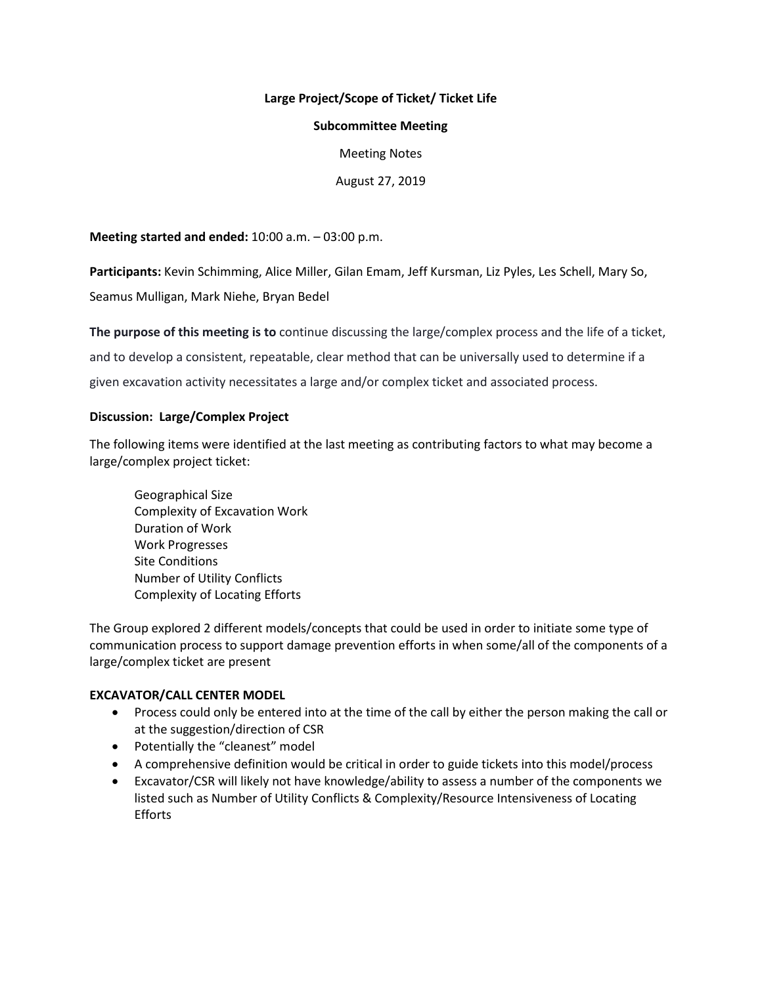# **Large Project/Scope of Ticket/ Ticket Life**

### **Subcommittee Meeting**

Meeting Notes

August 27, 2019

**Meeting started and ended:** 10:00 a.m. – 03:00 p.m.

**Participants:** Kevin Schimming, Alice Miller, Gilan Emam, Jeff Kursman, Liz Pyles, Les Schell, Mary So,

Seamus Mulligan, Mark Niehe, Bryan Bedel

**The purpose of this meeting is to** continue discussing the large/complex process and the life of a ticket, and to develop a consistent, repeatable, clear method that can be universally used to determine if a given excavation activity necessitates a large and/or complex ticket and associated process.

# **Discussion: Large/Complex Project**

The following items were identified at the last meeting as contributing factors to what may become a large/complex project ticket:

Geographical Size Complexity of Excavation Work Duration of Work Work Progresses Site Conditions Number of Utility Conflicts Complexity of Locating Efforts

The Group explored 2 different models/concepts that could be used in order to initiate some type of communication process to support damage prevention efforts in when some/all of the components of a large/complex ticket are present

# **EXCAVATOR/CALL CENTER MODEL**

- Process could only be entered into at the time of the call by either the person making the call or at the suggestion/direction of CSR
- Potentially the "cleanest" model
- A comprehensive definition would be critical in order to guide tickets into this model/process
- Excavator/CSR will likely not have knowledge/ability to assess a number of the components we listed such as Number of Utility Conflicts & Complexity/Resource Intensiveness of Locating Efforts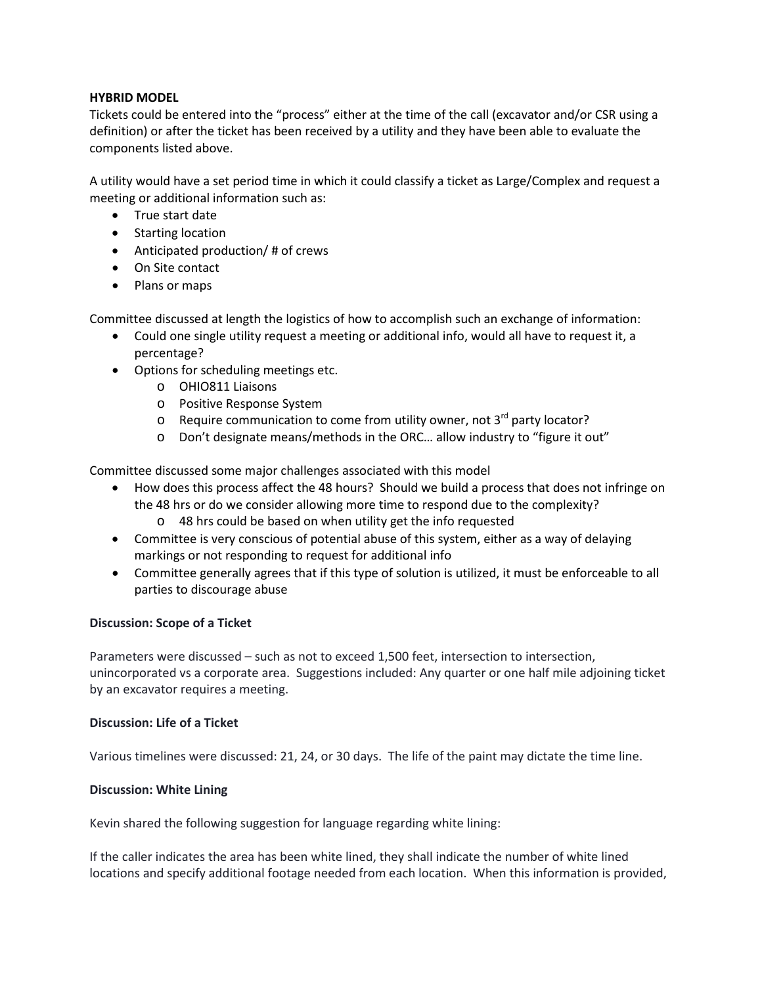## **HYBRID MODEL**

Tickets could be entered into the "process" either at the time of the call (excavator and/or CSR using a definition) or after the ticket has been received by a utility and they have been able to evaluate the components listed above.

A utility would have a set period time in which it could classify a ticket as Large/Complex and request a meeting or additional information such as:

- True start date
- Starting location
- Anticipated production/ # of crews
- On Site contact
- Plans or maps

Committee discussed at length the logistics of how to accomplish such an exchange of information:

- Could one single utility request a meeting or additional info, would all have to request it, a percentage?
- Options for scheduling meetings etc.
	- o OHIO811 Liaisons
	- o Positive Response System
	- $\circ$  Require communication to come from utility owner, not 3<sup>rd</sup> party locator?
	- o Don't designate means/methods in the ORC… allow industry to "figure it out"

Committee discussed some major challenges associated with this model

- How does this process affect the 48 hours? Should we build a process that does not infringe on the 48 hrs or do we consider allowing more time to respond due to the complexity?
	- o 48 hrs could be based on when utility get the info requested
- Committee is very conscious of potential abuse of this system, either as a way of delaying markings or not responding to request for additional info
- Committee generally agrees that if this type of solution is utilized, it must be enforceable to all parties to discourage abuse

# **Discussion: Scope of a Ticket**

Parameters were discussed – such as not to exceed 1,500 feet, intersection to intersection, unincorporated vs a corporate area. Suggestions included: Any quarter or one half mile adjoining ticket by an excavator requires a meeting.

#### **Discussion: Life of a Ticket**

Various timelines were discussed: 21, 24, or 30 days. The life of the paint may dictate the time line.

#### **Discussion: White Lining**

Kevin shared the following suggestion for language regarding white lining:

If the caller indicates the area has been white lined, they shall indicate the number of white lined locations and specify additional footage needed from each location. When this information is provided,